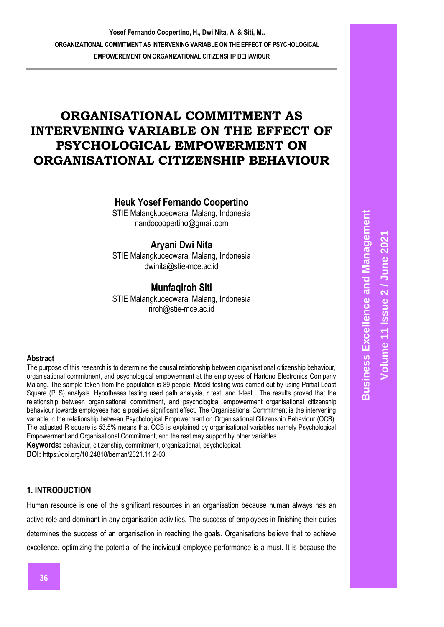# **ORGANISATIONAL COMMITMENT AS INTERVENING VARIABLE ON THE EFFECT OF PSYCHOLOGICAL EMPOWERMENT ON ORGANISATIONAL CITIZENSHIP BEHAVIOUR**

# **Heuk Yosef Fernando Coopertino**

STIE Malangkucecwara, Malang, Indonesia nandocoopertino@gmail.com

# **Aryani Dwi Nita**

STIE Malangkucecwara, Malang, Indonesia dwinita@stie-mce.ac.id

# **Munfaqiroh Siti**

STIE Malangkucecwara, Malang, Indonesia riroh@stie-mce.ac.id

#### **Abstract**

The purpose of this research is to determine the causal relationship between organisational citizenship behaviour, organisational commitment, and psychological empowerment at the employees of Hartono Electronics Company Malang. The sample taken from the population is 89 people. Model testing was carried out by using Partial Least Square (PLS) analysis. Hypotheses testing used path analysis, r test, and t-test. The results proved that the relationship between organisational commitment, and psychological empowerment organisational citizenship behaviour towards employees had a positive significant effect. The Organisational Commitment is the intervening variable in the relationship between Psychological Empowerment on Organisational Citizenship Behaviour (OCB). The adjusted R square is 53.5% means that OCB is explained by organisational variables namely Psychological Empowerment and Organisational Commitment, and the rest may support by other variables.

**Keywords:** behaviour, citizenship, commitment, organizational, psychological.

**DOI:** https://doi.org/10.24818/beman/2021.11.2-03

# **1. INTRODUCTION**

Human resource is one of the significant resources in an organisation because human always has an active role and dominant in any organisation activities. The success of employees in finishing their duties determines the success of an organisation in reaching the goals. Organisations believe that to achieve excellence, optimizing the potential of the individual employee performance is a must. It is because the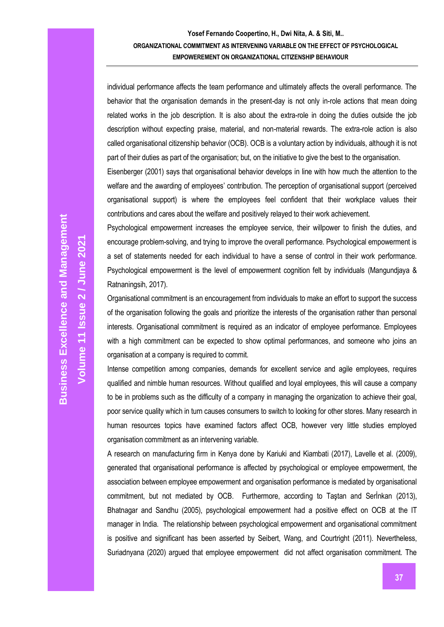individual performance affects the team performance and ultimately affects the overall performance. The behavior that the organisation demands in the present-day is not only in-role actions that mean doing related works in the job description. It is also about the extra-role in doing the duties outside the job description without expecting praise, material, and non-material rewards. The extra-role action is also called organisational citizenship behavior (OCB). OCB is a voluntary action by individuals, although it is not part of their duties as part of the organisation; but, on the initiative to give the best to the organisation.

Eisenberger (2001) says that organisational behavior develops in line with how much the attention to the welfare and the awarding of employees' contribution. The perception of organisational support (perceived organisational support) is where the employees feel confident that their workplace values their contributions and cares about the welfare and positively relayed to their work achievement.

Psychological empowerment increases the employee service, their willpower to finish the duties, and encourage problem-solving, and trying to improve the overall performance. Psychological empowerment is a set of statements needed for each individual to have a sense of control in their work performance. Psychological empowerment is the level of empowerment cognition felt by individuals (Mangundjaya & Ratnaningsih, 2017).

Organisational commitment is an encouragement from individuals to make an effort to support the success of the organisation following the goals and prioritize the interests of the organisation rather than personal interests. Organisational commitment is required as an indicator of employee performance. Employees with a high commitment can be expected to show optimal performances, and someone who joins an organisation at a company is required to commit.

Intense competition among companies, demands for excellent service and agile employees, requires qualified and nimble human resources. Without qualified and loyal employees, this will cause a company to be in problems such as the difficulty of a company in managing the organization to achieve their goal, poor service quality which in turn causes consumers to switch to looking for other stores. Many research in human resources topics have examined factors affect OCB, however very little studies employed organisation commitment as an intervening variable.

A research on manufacturing firm in Kenya done by Kariuki and Kiambati (2017), Lavelle et al. (2009), generated that organisational performance is affected by psychological or employee empowerment, the association between employee empowerment and organisation performance is mediated by organisational commitment, but not mediated by OCB. Furthermore, according to Taştan and Serİnkan (2013), Bhatnagar and Sandhu (2005), psychological empowerment had a positive effect on OCB at the IT manager in India. The relationship between psychological empowerment and organisational commitment is positive and significant has been asserted by Seibert, Wang, and Courtright (2011). Nevertheless, Suriadnyana (2020) argued that employee empowerment did not affect organisation commitment. The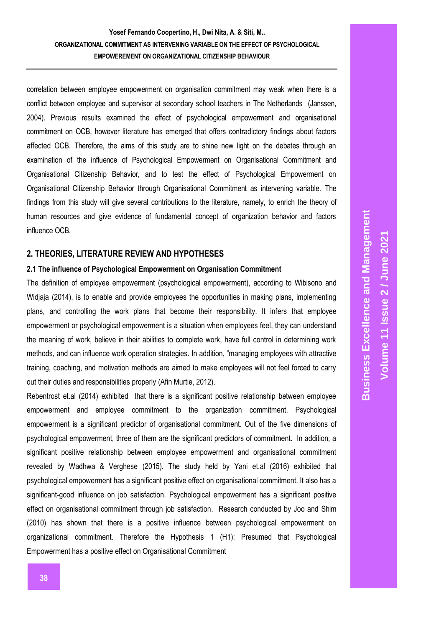correlation between employee empowerment on organisation commitment may weak when there is a conflict between employee and supervisor at secondary school teachers in The Netherlands (Janssen, 2004). Previous results examined the effect of psychological empowerment and organisational commitment on OCB, however literature has emerged that offers contradictory findings about factors affected OCB. Therefore, the aims of this study are to shine new light on the debates through an examination of the influence of Psychological Empowerment on Organisational Commitment and Organisational Citizenship Behavior, and to test the effect of Psychological Empowerment on Organisational Citizenship Behavior through Organisational Commitment as intervening variable. The findings from this study will give several contributions to the literature, namely, to enrich the theory of human resources and give evidence of fundamental concept of organization behavior and factors influence OCB.

#### **2. THEORIES, LITERATURE REVIEW AND HYPOTHESES**

#### **2.1 The influence of Psychological Empowerment on Organisation Commitment**

The definition of employee empowerment (psychological empowerment), according to Wibisono and Widjaja (2014), is to enable and provide employees the opportunities in making plans, implementing plans, and controlling the work plans that become their responsibility. It infers that employee empowerment or psychological empowerment is a situation when employees feel, they can understand the meaning of work, believe in their abilities to complete work, have full control in determining work methods, and can influence work operation strategies. In addition, "managing employees with attractive training, coaching, and motivation methods are aimed to make employees will not feel forced to carry out their duties and responsibilities properly (Afin Murtie, 2012).

Rebentrost et.al (2014) exhibited that there is a significant positive relationship between employee empowerment and employee commitment to the organization commitment. Psychological empowerment is a significant predictor of organisational commitment. Out of the five dimensions of psychological empowerment, three of them are the significant predictors of commitment. In addition, a significant positive relationship between employee empowerment and organisational commitment revealed by Wadhwa & Verghese (2015). The study held by Yani et.al (2016) exhibited that psychological empowerment has a significant positive effect on organisational commitment. It also has a significant-good influence on job satisfaction. Psychological empowerment has a significant positive effect on organisational commitment through job satisfaction. Research conducted by Joo and Shim (2010) has shown that there is a positive influence between psychological empowerment on organizational commitment. Therefore the Hypothesis 1 (H1): Presumed that Psychological Empowerment has a positive effect on Organisational Commitment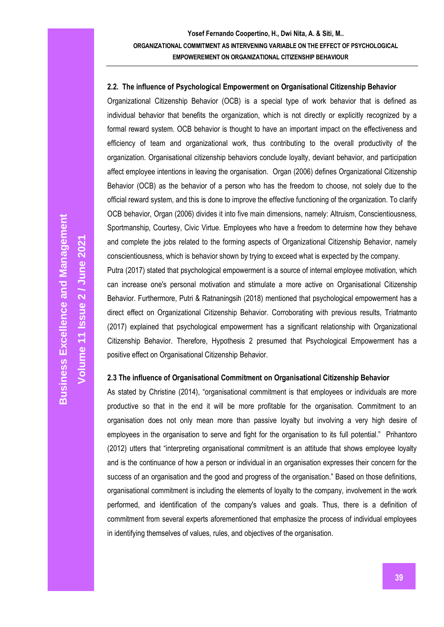#### **2.2. The influence of Psychological Empowerment on Organisational Citizenship Behavior**

Organizational Citizenship Behavior (OCB) is a special type of work behavior that is defined as individual behavior that benefits the organization, which is not directly or explicitly recognized by a formal reward system. OCB behavior is thought to have an important impact on the effectiveness and efficiency of team and organizational work, thus contributing to the overall productivity of the organization. Organisational citizenship behaviors conclude loyalty, deviant behavior, and participation affect employee intentions in leaving the organisation. Organ (2006) defines Organizational Citizenship Behavior (OCB) as the behavior of a person who has the freedom to choose, not solely due to the official reward system, and this is done to improve the effective functioning of the organization. To clarify OCB behavior, Organ (2006) divides it into five main dimensions, namely: Altruism, Conscientiousness, Sportmanship, Courtesy, Civic Virtue. Employees who have a freedom to determine how they behave and complete the jobs related to the forming aspects of Organizational Citizenship Behavior, namely conscientiousness, which is behavior shown by trying to exceed what is expected by the company. Putra (2017) stated that psychological empowerment is a source of internal employee motivation, which

can increase one's personal motivation and stimulate a more active on Organisational Citizenship Behavior. Furthermore, Putri & Ratnaningsih (2018) mentioned that psychological empowerment has a direct effect on Organizational Citizenship Behavior. Corroborating with previous results, Triatmanto (2017) explained that psychological empowerment has a significant relationship with Organizational Citizenship Behavior. Therefore, Hypothesis 2 presumed that Psychological Empowerment has a positive effect on Organisational Citizenship Behavior.

#### **2.3 The influence of Organisational Commitment on Organisational Citizenship Behavior**

As stated by Christine (2014), "organisational commitment is that employees or individuals are more productive so that in the end it will be more profitable for the organisation. Commitment to an organisation does not only mean more than passive loyalty but involving a very high desire of employees in the organisation to serve and fight for the organisation to its full potential." Prihantoro (2012) utters that "interpreting organisational commitment is an attitude that shows employee loyalty and is the continuance of how a person or individual in an organisation expresses their concern for the success of an organisation and the good and progress of the organisation." Based on those definitions, organisational commitment is including the elements of loyalty to the company, involvement in the work performed, and identification of the company's values and goals. Thus, there is a definition of commitment from several experts aforementioned that emphasize the process of individual employees in identifying themselves of values, rules, and objectives of the organisation.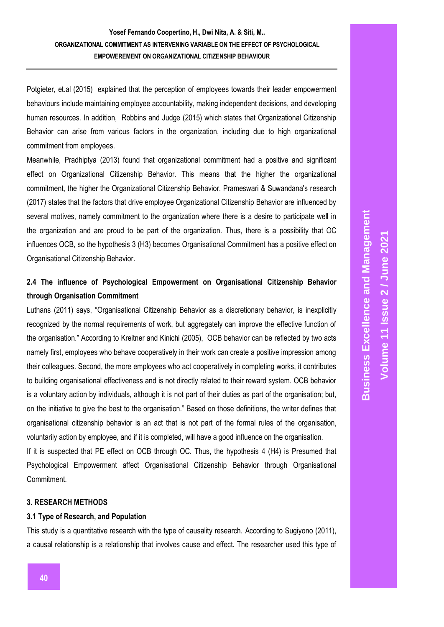Potgieter, et.al (2015) explained that the perception of employees towards their leader empowerment behaviours include maintaining employee accountability, making independent decisions, and developing human resources. In addition, Robbins and Judge (2015) which states that Organizational Citizenship Behavior can arise from various factors in the organization, including due to high organizational commitment from employees.

Meanwhile, Pradhiptya (2013) found that organizational commitment had a positive and significant effect on Organizational Citizenship Behavior. This means that the higher the organizational commitment, the higher the Organizational Citizenship Behavior. Prameswari & Suwandana's research (2017) states that the factors that drive employee Organizational Citizenship Behavior are influenced by several motives, namely commitment to the organization where there is a desire to participate well in the organization and are proud to be part of the organization. Thus, there is a possibility that OC influences OCB, so the hypothesis 3 (H3) becomes Organisational Commitment has a positive effect on Organisational Citizenship Behavior.

# **2.4 The influence of Psychological Empowerment on Organisational Citizenship Behavior through Organisation Commitment**

Luthans (2011) says, "Organisational Citizenship Behavior as a discretionary behavior, is inexplicitly recognized by the normal requirements of work, but aggregately can improve the effective function of the organisation." According to Kreitner and Kinichi (2005), OCB behavior can be reflected by two acts namely first, employees who behave cooperatively in their work can create a positive impression among their colleagues. Second, the more employees who act cooperatively in completing works, it contributes to building organisational effectiveness and is not directly related to their reward system. OCB behavior is a voluntary action by individuals, although it is not part of their duties as part of the organisation; but, on the initiative to give the best to the organisation." Based on those definitions, the writer defines that organisational citizenship behavior is an act that is not part of the formal rules of the organisation, voluntarily action by employee, and if it is completed, will have a good influence on the organisation.

If it is suspected that PE effect on OCB through OC. Thus, the hypothesis 4 (H4) is Presumed that Psychological Empowerment affect Organisational Citizenship Behavior through Organisational Commitment.

### **3. RESEARCH METHODS**

#### **3.1 Type of Research, and Population**

This study is a quantitative research with the type of causality research. According to Sugiyono (2011), a causal relationship is a relationship that involves cause and effect. The researcher used this type of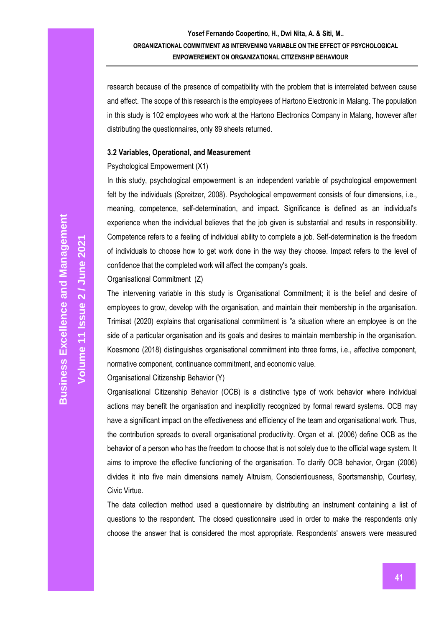research because of the presence of compatibility with the problem that is interrelated between cause and effect. The scope of this research is the employees of Hartono Electronic in Malang. The population in this study is 102 employees who work at the Hartono Electronics Company in Malang, however after distributing the questionnaires, only 89 sheets returned.

#### **3.2 Variables, Operational, and Measurement**

#### Psychological Empowerment (X1)

In this study, psychological empowerment is an independent variable of psychological empowerment felt by the individuals (Spreitzer, 2008). Psychological empowerment consists of four dimensions, i.e., meaning, competence, self-determination, and impact. Significance is defined as an individual's experience when the individual believes that the job given is substantial and results in responsibility. Competence refers to a feeling of individual ability to complete a job. Self-determination is the freedom of individuals to choose how to get work done in the way they choose. Impact refers to the level of confidence that the completed work will affect the company's goals.

Organisational Commitment (Z)

The intervening variable in this study is Organisational Commitment; it is the belief and desire of employees to grow, develop with the organisation, and maintain their membership in the organisation. Trimisat (2020) explains that organisational commitment is "a situation where an employee is on the side of a particular organisation and its goals and desires to maintain membership in the organisation. Koesmono (2018) distinguishes organisational commitment into three forms, i.e., affective component, normative component, continuance commitment, and economic value.

#### Organisational Citizenship Behavior (Y)

Organisational Citizenship Behavior (OCB) is a distinctive type of work behavior where individual actions may benefit the organisation and inexplicitly recognized by formal reward systems. OCB may have a significant impact on the effectiveness and efficiency of the team and organisational work. Thus, the contribution spreads to overall organisational productivity. Organ et al. (2006) define OCB as the behavior of a person who has the freedom to choose that is not solely due to the official wage system. It aims to improve the effective functioning of the organisation. To clarify OCB behavior, Organ (2006) divides it into five main dimensions namely Altruism, Conscientiousness, Sportsmanship, Courtesy, Civic Virtue.

The data collection method used a questionnaire by distributing an instrument containing a list of questions to the respondent. The closed questionnaire used in order to make the respondents only choose the answer that is considered the most appropriate. Respondents' answers were measured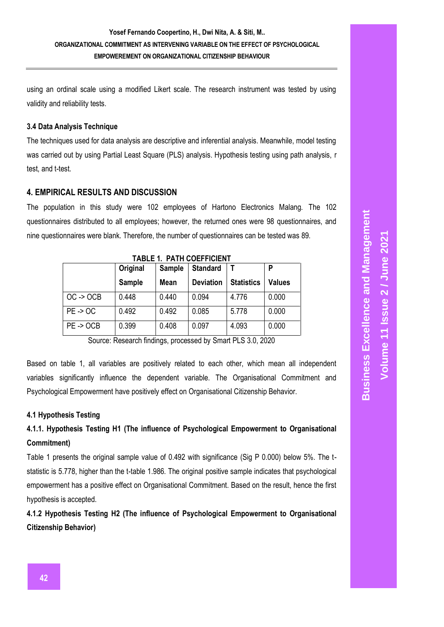using an ordinal scale using a modified Likert scale. The research instrument was tested by using validity and reliability tests.

### **3.4 Data Analysis Technique**

The techniques used for data analysis are descriptive and inferential analysis. Meanwhile, model testing was carried out by using Partial Least Square (PLS) analysis. Hypothesis testing using path analysis, r test, and t-test.

### **4. EMPIRICAL RESULTS AND DISCUSSION**

The population in this study were 102 employees of Hartono Electronics Malang. The 102 questionnaires distributed to all employees; however, the returned ones were 98 questionnaires, and nine questionnaires were blank. Therefore, the number of questionnaires can be tested was 89.

|                      | <b>Original</b> | Sample | <b>Standard</b>  |                   | P             |
|----------------------|-----------------|--------|------------------|-------------------|---------------|
|                      | Sample          | Mean   | <b>Deviation</b> | <b>Statistics</b> | <b>Values</b> |
| $OC \rightarrow OCB$ | 0.448           | 0.440  | 0.094            | 4.776             | 0.000         |
| $PE - 5OC$           | 0.492           | 0.492  | 0.085            | 5.778             | 0.000         |
| $PE - 50CB$          | 0.399           | 0.408  | 0.097            | 4.093             | 0.000         |

**TABLE 1. PATH COEFFICIENT**

Source: Research findings, processed by Smart PLS 3.0, 2020

Based on table 1, all variables are positively related to each other, which mean all independent variables significantly influence the dependent variable. The Organisational Commitment and Psychological Empowerment have positively effect on Organisational Citizenship Behavior.

### **4.1 Hypothesis Testing**

# **4.1.1. Hypothesis Testing H1 (The influence of Psychological Empowerment to Organisational Commitment)**

Table 1 presents the original sample value of 0.492 with significance (Sig P 0.000) below 5%. The tstatistic is 5.778, higher than the t-table 1.986. The original positive sample indicates that psychological empowerment has a positive effect on Organisational Commitment. Based on the result, hence the first hypothesis is accepted.

**4.1.2 Hypothesis Testing H2 (The influence of Psychological Empowerment to Organisational Citizenship Behavior)**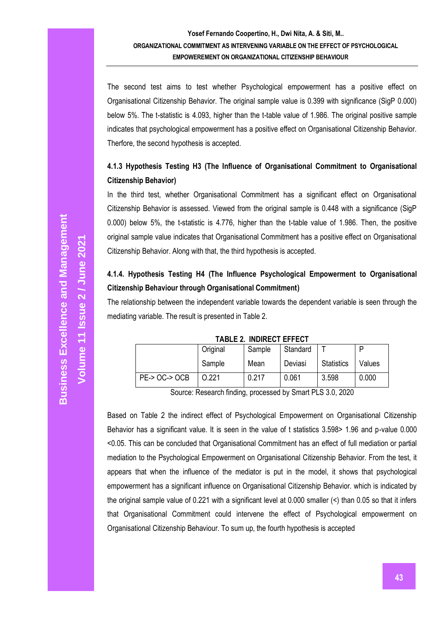The second test aims to test whether Psychological empowerment has a positive effect on Organisational Citizenship Behavior. The original sample value is 0.399 with significance (SigP 0.000) below 5%. The t-statistic is 4.093, higher than the t-table value of 1.986. The original positive sample indicates that psychological empowerment has a positive effect on Organisational Citizenship Behavior. Therfore, the second hypothesis is accepted.

# **4.1.3 Hypothesis Testing H3 (The Influence of Organisational Commitment to Organisational Citizenship Behavior)**

In the third test, whether Organisational Commitment has a significant effect on Organisational Citizenship Behavior is assessed. Viewed from the original sample is 0.448 with a significance (SigP 0.000) below 5%, the t-statistic is 4.776, higher than the t-table value of 1.986. Then, the positive original sample value indicates that Organisational Commitment has a positive effect on Organisational Citizenship Behavior. Along with that, the third hypothesis is accepted.

# **4.1.4. Hypothesis Testing H4 (The Influence Psychological Empowerment to Organisational Citizenship Behaviour through Organisational Commitment)**

The relationship between the independent variable towards the dependent variable is seen through the mediating variable. The result is presented in Table 2.

|                            |          | 1606 L. 11011160 L. L. LV |          |                   |        |
|----------------------------|----------|---------------------------|----------|-------------------|--------|
|                            | Original | Sample                    | Standard |                   |        |
|                            | Sample   | Mean                      | Deviasi  | <b>Statistics</b> | Values |
| <b>PE-&gt; OC-&gt; OCB</b> | 0.221    | 0.217                     | 0.061    | 3.598             | 0.000  |

**TABLE 2. INDIRECT EFFECT**

Source: Research finding, processed by Smart PLS 3.0, 2020

Based on Table 2 the indirect effect of Psychological Empowerment on Organisational Citizenship Behavior has a significant value. It is seen in the value of t statistics 3.598> 1.96 and p-value 0.000 <0.05. This can be concluded that Organisational Commitment has an effect of full mediation or partial mediation to the Psychological Empowerment on Organisational Citizenship Behavior. From the test, it appears that when the influence of the mediator is put in the model, it shows that psychological empowerment has a significant influence on Organisational Citizenship Behavior. which is indicated by the original sample value of 0.221 with a significant level at 0.000 smaller (<) than 0.05 so that it infers that Organisational Commitment could intervene the effect of Psychological empowerment on Organisational Citizenship Behaviour. To sum up, the fourth hypothesis is accepted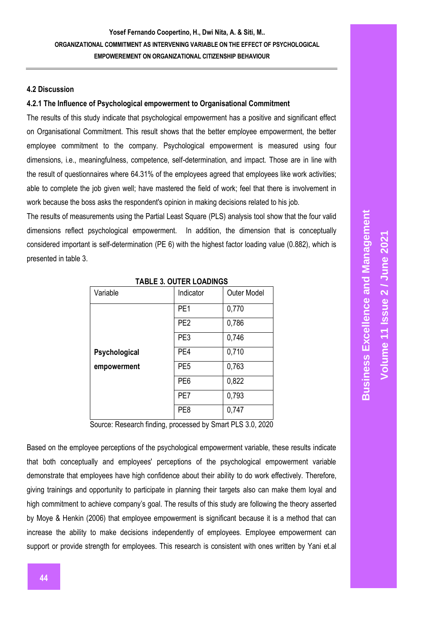#### **4.2 Discussion**

#### **4.2.1 The Influence of Psychological empowerment to Organisational Commitment**

The results of this study indicate that psychological empowerment has a positive and significant effect on Organisational Commitment. This result shows that the better employee empowerment, the better employee commitment to the company. Psychological empowerment is measured using four dimensions, i.e., meaningfulness, competence, self-determination, and impact. Those are in line with the result of questionnaires where 64.31% of the employees agreed that employees like work activities; able to complete the job given well; have mastered the field of work; feel that there is involvement in work because the boss asks the respondent's opinion in making decisions related to his job.

The results of measurements using the Partial Least Square (PLS) analysis tool show that the four valid dimensions reflect psychological empowerment. In addition, the dimension that is conceptually considered important is self-determination (PE 6) with the highest factor loading value (0.882), which is presented in table 3.

| Variable      | Indicator       | Outer Model |  |  |
|---------------|-----------------|-------------|--|--|
|               | PE <sub>1</sub> | 0,770       |  |  |
|               | PE <sub>2</sub> | 0,786       |  |  |
|               | PE3             | 0,746       |  |  |
| Psychological | PE4             | 0,710       |  |  |
| empowerment   | PE <sub>5</sub> | 0,763       |  |  |
|               | PE <sub>6</sub> | 0,822       |  |  |
|               | PE7             | 0,793       |  |  |
|               | PE8             | 0,747       |  |  |

|  | <b>TABLE 3. OUTER LOADINGS</b> |
|--|--------------------------------|
|--|--------------------------------|

Source: Research finding, processed by Smart PLS 3.0, 2020

Based on the employee perceptions of the psychological empowerment variable, these results indicate that both conceptually and employees' perceptions of the psychological empowerment variable demonstrate that employees have high confidence about their ability to do work effectively. Therefore, giving trainings and opportunity to participate in planning their targets also can make them loyal and high commitment to achieve company's goal. The results of this study are following the theory asserted by Moye & Henkin (2006) that employee empowerment is significant because it is a method that can increase the ability to make decisions independently of employees. Employee empowerment can support or provide strength for employees. This research is consistent with ones written by Yani et.al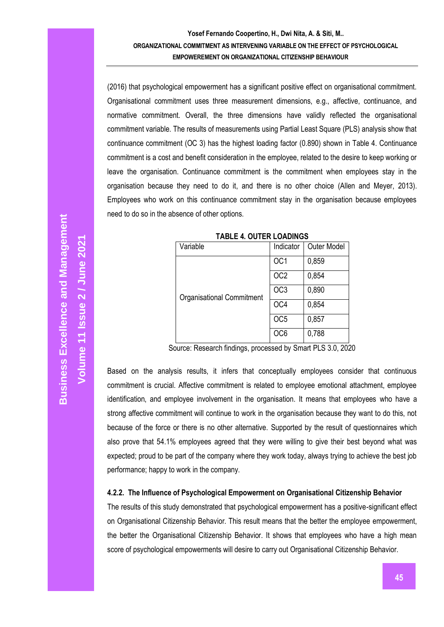(2016) that psychological empowerment has a significant positive effect on organisational commitment. Organisational commitment uses three measurement dimensions, e.g., affective, continuance, and normative commitment. Overall, the three dimensions have validly reflected the organisational commitment variable. The results of measurements using Partial Least Square (PLS) analysis show that continuance commitment (OC 3) has the highest loading factor (0.890) shown in Table 4. Continuance commitment is a cost and benefit consideration in the employee, related to the desire to keep working or leave the organisation. Continuance commitment is the commitment when employees stay in the organisation because they need to do it, and there is no other choice (Allen and Meyer, 2013). Employees who work on this continuance commitment stay in the organisation because employees need to do so in the absence of other options.

| Variable                         | Indicator       | Outer Model |
|----------------------------------|-----------------|-------------|
|                                  | OC <sub>1</sub> | 0,859       |
|                                  | OC <sub>2</sub> | 0,854       |
| <b>Organisational Commitment</b> | OC <sub>3</sub> | 0,890       |
|                                  | OC4             | 0,854       |
|                                  | OC <sub>5</sub> | 0,857       |
|                                  | OC6             | 0,788       |

**TABLE 4. OUTER LOADINGS**

Source: Research findings, processed by Smart PLS 3.0, 2020

Based on the analysis results, it infers that conceptually employees consider that continuous commitment is crucial. Affective commitment is related to employee emotional attachment, employee identification, and employee involvement in the organisation. It means that employees who have a strong affective commitment will continue to work in the organisation because they want to do this, not because of the force or there is no other alternative. Supported by the result of questionnaires which also prove that 54.1% employees agreed that they were willing to give their best beyond what was expected; proud to be part of the company where they work today, always trying to achieve the best job performance; happy to work in the company.

#### **4.2.2. The Influence of Psychological Empowerment on Organisational Citizenship Behavior**

The results of this study demonstrated that psychological empowerment has a positive-significant effect on Organisational Citizenship Behavior. This result means that the better the employee empowerment, the better the Organisational Citizenship Behavior. It shows that employees who have a high mean score of psychological empowerments will desire to carry out Organisational Citizenship Behavior.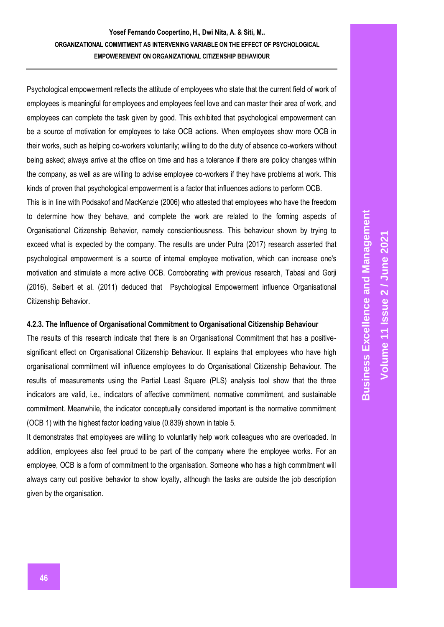Psychological empowerment reflects the attitude of employees who state that the current field of work of employees is meaningful for employees and employees feel love and can master their area of work, and employees can complete the task given by good. This exhibited that psychological empowerment can be a source of motivation for employees to take OCB actions. When employees show more OCB in their works, such as helping co-workers voluntarily; willing to do the duty of absence co-workers without being asked; always arrive at the office on time and has a tolerance if there are policy changes within the company, as well as are willing to advise employee co-workers if they have problems at work. This kinds of proven that psychological empowerment is a factor that influences actions to perform OCB.

This is in line with Podsakof and MacKenzie (2006) who attested that employees who have the freedom to determine how they behave, and complete the work are related to the forming aspects of Organisational Citizenship Behavior, namely conscientiousness. This behaviour shown by trying to exceed what is expected by the company. The results are under Putra (2017) research asserted that psychological empowerment is a source of internal employee motivation, which can increase one's motivation and stimulate a more active OCB. Corroborating with previous research, Tabasi and Gorji (2016), Seibert et al. (2011) deduced that Psychological Empowerment influence Organisational Citizenship Behavior.

#### **4.2.3. The Influence of Organisational Commitment to Organisational Citizenship Behaviour**

The results of this research indicate that there is an Organisational Commitment that has a positivesignificant effect on Organisational Citizenship Behaviour. It explains that employees who have high organisational commitment will influence employees to do Organisational Citizenship Behaviour. The results of measurements using the Partial Least Square (PLS) analysis tool show that the three indicators are valid, i.e., indicators of affective commitment, normative commitment, and sustainable commitment. Meanwhile, the indicator conceptually considered important is the normative commitment (OCB 1) with the highest factor loading value (0.839) shown in table 5.

It demonstrates that employees are willing to voluntarily help work colleagues who are overloaded. In addition, employees also feel proud to be part of the company where the employee works. For an employee, OCB is a form of commitment to the organisation. Someone who has a high commitment will always carry out positive behavior to show loyalty, although the tasks are outside the job description given by the organisation.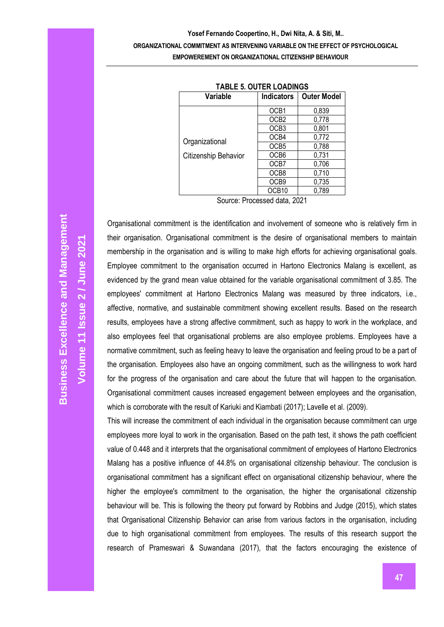| TABLE 5. UUTER LUADINGS |                   |                    |  |  |
|-------------------------|-------------------|--------------------|--|--|
| Variable                | <b>Indicators</b> | <b>Outer Model</b> |  |  |
|                         | OCB1              | 0,839              |  |  |
|                         | OCB <sub>2</sub>  | 0,778              |  |  |
|                         | OCB <sub>3</sub>  | 0,801              |  |  |
|                         | OCB4              | 0,772              |  |  |
| Organizational          | OCB <sub>5</sub>  | 0,788              |  |  |
| Citizenship Behavior    | OCB6              | 0,731              |  |  |
|                         | OCB7              | 0,706              |  |  |
|                         | OCB8              | 0,710              |  |  |
|                         | OCB <sub>9</sub>  | 0,735              |  |  |
|                         | OCB10             | 0,789              |  |  |
| <br>-<br>-<br>.         |                   |                    |  |  |

|  |  |  |  | <b>TABLE 5. OUTER LOADINGS</b> |
|--|--|--|--|--------------------------------|
|--|--|--|--|--------------------------------|

Source: Processed data, 2021

**Business Excellence and Management Business Excellence and Management 2 / June 2021 Volume 11 Issue** 

Organisational commitment is the identification and involvement of someone who is relatively firm in their organisation. Organisational commitment is the desire of organisational members to maintain membership in the organisation and is willing to make high efforts for achieving organisational goals. Employee commitment to the organisation occurred in Hartono Electronics Malang is excellent, as evidenced by the grand mean value obtained for the variable organisational commitment of 3.85. The employees' commitment at Hartono Electronics Malang was measured by three indicators, i.e., affective, normative, and sustainable commitment showing excellent results. Based on the research results, employees have a strong affective commitment, such as happy to work in the workplace, and also employees feel that organisational problems are also employee problems. Employees have a normative commitment, such as feeling heavy to leave the organisation and feeling proud to be a part of the organisation. Employees also have an ongoing commitment, such as the willingness to work hard for the progress of the organisation and care about the future that will happen to the organisation. Organisational commitment causes increased engagement between employees and the organisation, which is corroborate with the result of Kariuki and Kiambati (2017); Lavelle et al. (2009).

This will increase the commitment of each individual in the organisation because commitment can urge employees more loyal to work in the organisation. Based on the path test, it shows the path coefficient value of 0.448 and it interprets that the organisational commitment of employees of Hartono Electronics Malang has a positive influence of 44.8% on organisational citizenship behaviour. The conclusion is organisational commitment has a significant effect on organisational citizenship behaviour, where the higher the employee's commitment to the organisation, the higher the organisational citizenship behaviour will be. This is following the theory put forward by Robbins and Judge (2015), which states that Organisational Citizenship Behavior can arise from various factors in the organisation, including due to high organisational commitment from employees. The results of this research support the research of Prameswari & Suwandana (2017), that the factors encouraging the existence of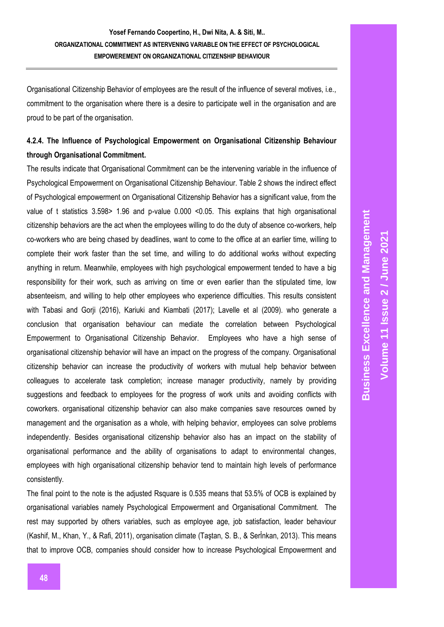Organisational Citizenship Behavior of employees are the result of the influence of several motives, i.e., commitment to the organisation where there is a desire to participate well in the organisation and are proud to be part of the organisation.

# **4.2.4. The Influence of Psychological Empowerment on Organisational Citizenship Behaviour through Organisational Commitment.**

The results indicate that Organisational Commitment can be the intervening variable in the influence of Psychological Empowerment on Organisational Citizenship Behaviour. Table 2 shows the indirect effect of Psychological empowerment on Organisational Citizenship Behavior has a significant value, from the value of t statistics 3.598> 1.96 and p-value 0.000 <0.05. This explains that high organisational citizenship behaviors are the act when the employees willing to do the duty of absence co-workers, help co-workers who are being chased by deadlines, want to come to the office at an earlier time, willing to complete their work faster than the set time, and willing to do additional works without expecting anything in return. Meanwhile, employees with high psychological empowerment tended to have a big responsibility for their work, such as arriving on time or even earlier than the stipulated time, low absenteeism, and willing to help other employees who experience difficulties. This results consistent with Tabasi and Gorji (2016), Kariuki and Kiambati (2017); Lavelle et al (2009). who generate a conclusion that organisation behaviour can mediate the correlation between Psychological Empowerment to Organisational Citizenship Behavior. Employees who have a high sense of organisational citizenship behavior will have an impact on the progress of the company. Organisational citizenship behavior can increase the productivity of workers with mutual help behavior between colleagues to accelerate task completion; increase manager productivity, namely by providing suggestions and feedback to employees for the progress of work units and avoiding conflicts with coworkers. organisational citizenship behavior can also make companies save resources owned by management and the organisation as a whole, with helping behavior, employees can solve problems independently. Besides organisational citizenship behavior also has an impact on the stability of organisational performance and the ability of organisations to adapt to environmental changes, employees with high organisational citizenship behavior tend to maintain high levels of performance consistently.

The final point to the note is the adjusted Rsquare is 0.535 means that 53.5% of OCB is explained by organisational variables namely Psychological Empowerment and Organisational Commitment. The rest may supported by others variables, such as employee age, job satisfaction, leader behaviour (Kashif, M., Khan, Y., & Rafi, 2011), organisation climate (Taştan, S. B., & Serİnkan, 2013). This means that to improve OCB, companies should consider how to increase Psychological Empowerment and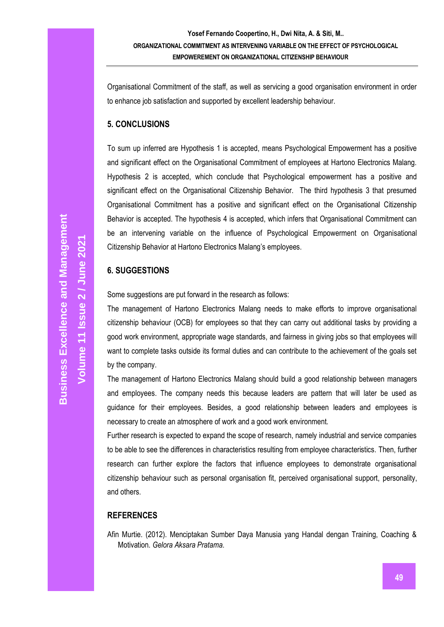Organisational Commitment of the staff, as well as servicing a good organisation environment in order to enhance job satisfaction and supported by excellent leadership behaviour.

### **5. CONCLUSIONS**

To sum up inferred are Hypothesis 1 is accepted, means Psychological Empowerment has a positive and significant effect on the Organisational Commitment of employees at Hartono Electronics Malang. Hypothesis 2 is accepted, which conclude that Psychological empowerment has a positive and significant effect on the Organisational Citizenship Behavior. The third hypothesis 3 that presumed Organisational Commitment has a positive and significant effect on the Organisational Citizenship Behavior is accepted. The hypothesis 4 is accepted, which infers that Organisational Commitment can be an intervening variable on the influence of Psychological Empowerment on Organisational Citizenship Behavior at Hartono Electronics Malang's employees.

# **6. SUGGESTIONS**

Some suggestions are put forward in the research as follows:

The management of Hartono Electronics Malang needs to make efforts to improve organisational citizenship behaviour (OCB) for employees so that they can carry out additional tasks by providing a good work environment, appropriate wage standards, and fairness in giving jobs so that employees will want to complete tasks outside its formal duties and can contribute to the achievement of the goals set by the company.

The management of Hartono Electronics Malang should build a good relationship between managers and employees. The company needs this because leaders are pattern that will later be used as guidance for their employees. Besides, a good relationship between leaders and employees is necessary to create an atmosphere of work and a good work environment.

Further research is expected to expand the scope of research, namely industrial and service companies to be able to see the differences in characteristics resulting from employee characteristics. Then, further research can further explore the factors that influence employees to demonstrate organisational citizenship behaviour such as personal organisation fit, perceived organisational support, personality, and others.

### **REFERENCES**

Afin Murtie. (2012). Menciptakan Sumber Daya Manusia yang Handal dengan Training, Coaching & Motivation. *Gelora Aksara Pratama*.

**Volume 11 Issue**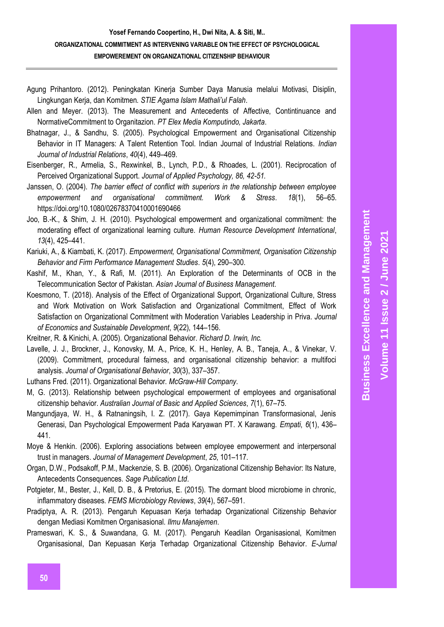Agung Prihantoro. (2012). Peningkatan Kinerja Sumber Daya Manusia melalui Motivasi, Disiplin, Lingkungan Kerja, dan Komitmen. *STIE Agama Islam Mathali'ul Falah*.

Allen and Meyer. (2013). The Measurement and Antecedents of Affective, Contintinuance and NormativeCommitment to Organitazion. *PT Elex Media Komputindo, Jakarta*.

- Bhatnagar, J., & Sandhu, S. (2005). Psychological Empowerment and Organisational Citizenship Behavior in IT Managers: A Talent Retention Tool. Indian Journal of Industrial Relations. *Indian Journal of Industrial Relations*, *40*(4), 449–469.
- Eisenberger, R., Armelia, S., Rexwinkel, B., Lynch, P.D., & Rhoades, L. (2001). Reciprocation of Perceived Organizational Support. *Journal of Applied Psychology, 86, 42-51.*
- Janssen, O. (2004). *The barrier effect of conflict with superiors in the relationship between employee empowerment and organisational commitment. Work & Stress*. *18*(1), 56–65. https://doi.org/10.1080/02678370410001690466
- Joo, B.-K., & Shim, J. H. (2010). Psychological empowerment and organizational commitment: the moderating effect of organizational learning culture. *Human Resource Development International*, *13*(4), 425–441.
- Kariuki, A., & Kiambati, K. (2017). *Empowerment, Organisational Commitment, Organisation Citizenship Behavior and Firm Performance Management Studies*. *5*(4), 290–300.
- Kashif, M., Khan, Y., & Rafi, M. (2011). An Exploration of the Determinants of OCB in the Telecommunication Sector of Pakistan. *Asian Journal of Business Management*.
- Koesmono, T. (2018). Analysis of the Effect of Organizational Support, Organizational Culture, Stress and Work Motivation on Work Satisfaction and Organizational Commitment, Effect of Work Satisfaction on Organizational Commitment with Moderation Variables Leadership in Priva. *Journal of Economics and Sustainable Development*, *9*(22), 144–156.
- Kreitner, R. & Kinichi, A. (2005). Organizational Behavior. *Richard D. Irwin, Inc.*
- Lavelle, J. J., Brockner, J., Konovsky, M. A., Price, K. H., Henley, A. B., Taneja, A., & Vinekar, V. (2009). Commitment, procedural fairness, and organisational citizenship behavior: a multifoci analysis. *Journal of Organisational Behavior*, *30*(3), 337–357.
- Luthans Fred. (2011). Organizational Behavior. *McGraw-Hill Company*.
- M, G. (2013). Relationship between psychological empowerment of employees and organisational citizenship behavior. *Australian Journal of Basic and Applied Sciences*, *7*(1), 67–75.
- Mangundjaya, W. H., & Ratnaningsih, I. Z. (2017). Gaya Kepemimpinan Transformasional, Jenis Generasi, Dan Psychological Empowerment Pada Karyawan PT. X Karawang. *Empati*, *6*(1), 436– 441.
- Moye & Henkin. (2006). Exploring associations between employee empowerment and interpersonal trust in managers. *Journal of Management Development*, *25*, 101–117.
- Organ, D.W., Podsakoff, P.M., Mackenzie, S. B. (2006). Organizational Citizenship Behavior: Its Nature, Antecedents Consequences. *Sage Publication Ltd*.
- Potgieter, M., Bester, J., Kell, D. B., & Pretorius, E. (2015). The dormant blood microbiome in chronic, inflammatory diseases. *FEMS Microbiology Reviews*, *39*(4), 567–591.
- Pradiptya, A. R. (2013). Pengaruh Kepuasan Kerja terhadap Organizational Citizenship Behavior dengan Mediasi Komitmen Organisasional. *Ilmu Manajemen*.
- Prameswari, K. S., & Suwandana, G. M. (2017). Pengaruh Keadilan Organisasional, Komitmen Organisasional, Dan Kepuasan Kerja Terhadap Organizational Citizenship Behavior. *E-Jurnal*